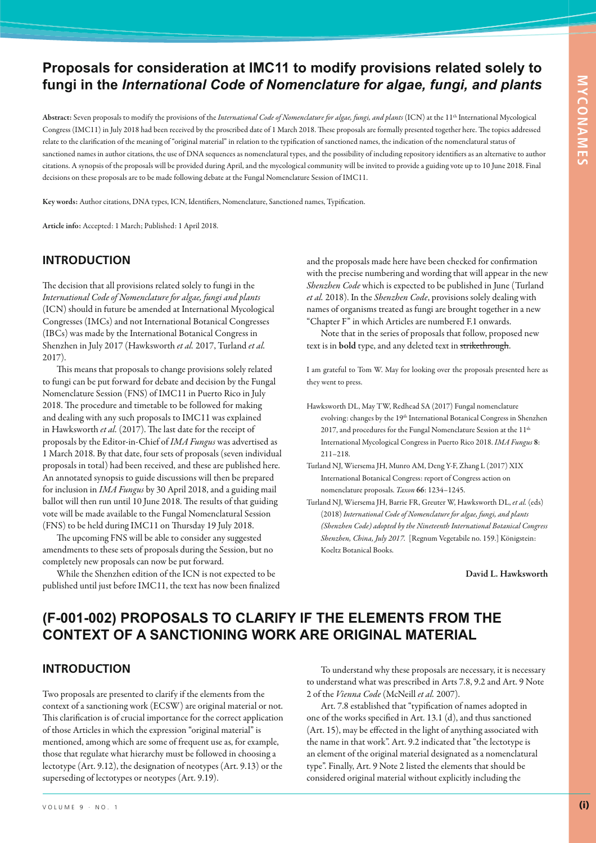## **Proposals for consideration at IMC11 to modify provisions related solely to fungi in the** *International Code of Nomenclature for algae, fungi, and plants*

**Abstract:** Seven proposals to modify the provisions of the *International Code of Nomenclature for algae, fungi, and plants* (ICN) at the 11th International Mycological Congress (IMC11) in July 2018 had been received by the proscribed date of 1 March 2018. These proposals are formally presented together here. The topics addressed relate to the clarification of the meaning of "original material" in relation to the typification of sanctioned names, the indication of the nomenclatural status of sanctioned names in author citations, the use of DNA sequences as nomenclatural types, and the possibility of including repository identifiers as an alternative to author citations. A synopsis of the proposals will be provided during April, and the mycological community will be invited to provide a guiding vote up to 10 June 2018. Final decisions on these proposals are to be made following debate at the Fungal Nomenclature Session of IMC11.

**Key words:** Author citations, DNA types, ICN, Identifiers, Nomenclature, Sanctioned names, Typification.

**Article info:** Accepted: 1 March; Published: 1 April 2018.

## **INTRODUCTION**

The decision that all provisions related solely to fungi in the *International Code of Nomenclature for algae, fungi and plants* (ICN) should in future be amended at International Mycological Congresses (IMCs) and not International Botanical Congresses (IBCs) was made by the International Botanical Congress in Shenzhen in July 2017 (Hawksworth *et al.* 2017, Turland *et al.* 2017).

This means that proposals to change provisions solely related to fungi can be put forward for debate and decision by the Fungal Nomenclature Session (FNS) of IMC11 in Puerto Rico in July 2018. The procedure and timetable to be followed for making and dealing with any such proposals to IMC11 was explained in Hawksworth *et al.* (2017). The last date for the receipt of proposals by the Editor-in-Chief of *IMA Fungus* was advertised as 1 March 2018. By that date, four sets of proposals (seven individual proposals in total) had been received, and these are published here. An annotated synopsis to guide discussions will then be prepared for inclusion in *IMA Fungus* by 30 April 2018, and a guiding mail ballot will then run until 10 June 2018. The results of that guiding vote will be made available to the Fungal Nomenclatural Session (FNS) to be held during IMC11 on Thursday 19 July 2018.

The upcoming FNS will be able to consider any suggested amendments to these sets of proposals during the Session, but no completely new proposals can now be put forward.

While the Shenzhen edition of the ICN is not expected to be published until just before IMC11, the text has now been finalized and the proposals made here have been checked for confirmation with the precise numbering and wording that will appear in the new *Shenzhen Code* which is expected to be published in June (Turland *et al.* 2018). In the *Shenzhen Code*, provisions solely dealing with names of organisms treated as fungi are brought together in a new "Chapter F" in which Articles are numbered F.1 onwards.

Note that in the series of proposals that follow, proposed new text is in **bold** type, and any deleted text in strikethrough.

I am grateful to Tom W. May for looking over the proposals presented here as they went to press.

- Hawksworth DL, May TW, Redhead SA (2017) Fungal nomenclature evolving: changes by the 19<sup>th</sup> International Botanical Congress in Shenzhen 2017, and procedures for the Fungal Nomenclature Session at the 11<sup>th</sup> International Mycological Congress in Puerto Rico 2018. *IMA Fungus* **8**: 211–218.
- Turland NJ, Wiersema JH, Munro AM, Deng Y-F, Zhang L (2017) XIX International Botanical Congress: report of Congress action on nomenclature proposals. *Taxon* **66**: 1234–1245.
- Turland NJ, Wiersema JH, Barrie FR, Greuter W, Hawksworth DL, *et al.* (eds) (2018) *International Code of Nomenclature for algae, fungi, and plants (Shenzhen Code) adopted by the Nineteenth International Botanical Congress Shenzhen, China, July 2017.* [Regnum Vegetabile no. 159.] Königstein: Koeltz Botanical Books.

**David L. Hawksworth**

# **(F-001-002) PROPOSALS TO CLARIFY IF THE ELEMENTS FROM THE CONTEXT OF A SANCTIONING WORK ARE ORIGINAL MATERIAL**

### **INTRODUCTION**

Two proposals are presented to clarify if the elements from the context of a sanctioning work (ECSW) are original material or not. This clarification is of crucial importance for the correct application of those Articles in which the expression "original material" is mentioned, among which are some of frequent use as, for example, those that regulate what hierarchy must be followed in choosing a lectotype (Art. 9.12), the designation of neotypes (Art. 9.13) or the superseding of lectotypes or neotypes (Art. 9.19).

To understand why these proposals are necessary, it is necessary to understand what was prescribed in Arts 7.8, 9.2 and Art. 9 Note 2 of the *Vienna Code* (McNeill *et al.* 2007).

Art. 7.8 established that "typification of names adopted in one of the works specified in Art. 13.1 (d), and thus sanctioned (Art. 15), may be effected in the light of anything associated with the name in that work". Art. 9.2 indicated that "the lectotype is an element of the original material designated as a nomenclatural type". Finally, Art. 9 Note 2 listed the elements that should be considered original material without explicitly including the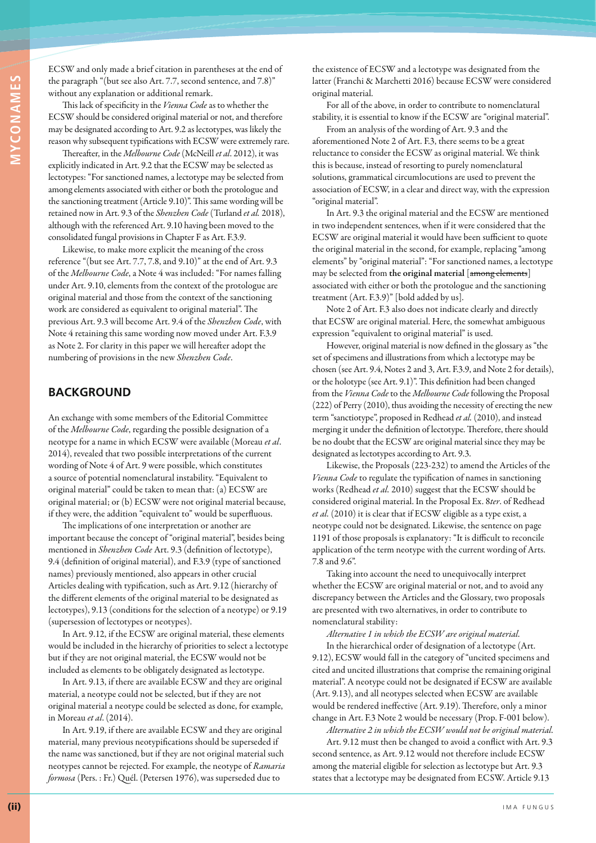ECSW and only made a brief citation in parentheses at the end of the paragraph "(but see also Art. 7.7, second sentence, and 7.8)" without any explanation or additional remark.

This lack of specificity in the *Vienna Code* as to whether the ECSW should be considered original material or not, and therefore may be designated according to Art. 9.2 as lectotypes, was likely the reason why subsequent typifications with ECSW were extremely rare.

Thereafter, in the *Melbourne Code* (McNeill *et al*. 2012), it was explicitly indicated in Art. 9.2 that the ECSW may be selected as lectotypes: "For sanctioned names, a lectotype may be selected from among elements associated with either or both the protologue and the sanctioning treatment (Article 9.10)". This same wording will be retained now in Art. 9.3 of the *Shenzhen Code* (Turland *et al.* 2018), although with the referenced Art. 9.10 having been moved to the consolidated fungal provisions in Chapter F as Art. F.3.9.

Likewise, to make more explicit the meaning of the cross reference "(but see Art. 7.7, 7.8, and 9.10)" at the end of Art. 9.3 of the *Melbourne Code*, a Note 4 was included: "For names falling under Art. 9.10, elements from the context of the protologue are original material and those from the context of the sanctioning work are considered as equivalent to original material". The previous Art. 9.3 will become Art. 9.4 of the *Shenzhen Code*, with Note 4 retaining this same wording now moved under Art. F.3.9 as Note 2. For clarity in this paper we will hereafter adopt the numbering of provisions in the new *Shenzhen Code*.

#### **BACKGROUND**

An exchange with some members of the Editorial Committee of the *Melbourne Code*, regarding the possible designation of a neotype for a name in which ECSW were available (Moreau *et al*. 2014), revealed that two possible interpretations of the current wording of Note 4 of Art. 9 were possible, which constitutes a source of potential nomenclatural instability. "Equivalent to original material" could be taken to mean that: (a) ECSW are original material; or (b) ECSW were not original material because, if they were, the addition "equivalent to" would be superfluous.

The implications of one interpretation or another are important because the concept of "original material", besides being mentioned in *Shenzhen Code* Art. 9.3 (definition of lectotype), 9.4 (definition of original material), and F.3.9 (type of sanctioned names) previously mentioned, also appears in other crucial Articles dealing with typification, such as Art. 9.12 (hierarchy of the different elements of the original material to be designated as lectotypes), 9.13 (conditions for the selection of a neotype) or 9.19 (supersession of lectotypes or neotypes).

In Art. 9.12, if the ECSW are original material, these elements would be included in the hierarchy of priorities to select a lectotype but if they are not original material, the ECSW would not be included as elements to be obligately designated as lectotype.

In Art. 9.13, if there are available ECSW and they are original material, a neotype could not be selected, but if they are not original material a neotype could be selected as done, for example, in Moreau *et al*. (2014).

In Art. 9.19, if there are available ECSW and they are original material, many previous neotypifications should be superseded if the name was sanctioned, but if they are not original material such neotypes cannot be rejected. For example, the neotype of *Ramaria formosa* (Pers. : Fr.) Quél. (Petersen 1976), was superseded due to

the existence of ECSW and a lectotype was designated from the latter (Franchi & Marchetti 2016) because ECSW were considered original material.

For all of the above, in order to contribute to nomenclatural stability, it is essential to know if the ECSW are "original material".

From an analysis of the wording of Art. 9.3 and the aforementioned Note 2 of Art. F.3, there seems to be a great reluctance to consider the ECSW as original material. We think this is because, instead of resorting to purely nomenclatural solutions, grammatical circumlocutions are used to prevent the association of ECSW, in a clear and direct way, with the expression "original material".

In Art. 9.3 the original material and the ECSW are mentioned in two independent sentences, when if it were considered that the ECSW are original material it would have been sufficient to quote the original material in the second, for example, replacing "among elements" by "original material": "For sanctioned names, a lectotype may be selected from **the original material** [among elements] associated with either or both the protologue and the sanctioning treatment (Art. F.3.9)" [bold added by us].

Note 2 of Art. F.3 also does not indicate clearly and directly that ECSW are original material. Here, the somewhat ambiguous expression "equivalent to original material" is used.

However, original material is now defined in the glossary as "the set of specimens and illustrations from which a lectotype may be chosen (see Art. 9.4, Notes 2 and 3, Art. F.3.9, and Note 2 for details), or the holotype (see Art. 9.1)". This definition had been changed from the *Vienna Code* to the *Melbourne Code* following the Proposal (222) of Perry (2010), thus avoiding the necessity of erecting the new term "sanctiotype", proposed in Redhead *et al.* (2010), and instead merging it under the definition of lectotype. Therefore, there should be no doubt that the ECSW are original material since they may be designated as lectotypes according to Art. 9.3.

Likewise, the Proposals (223-232) to amend the Articles of the *Vienna Code* to regulate the typification of names in sanctioning works (Redhead *et al.* 2010) suggest that the ECSW should be considered original material. In the Proposal Ex. 8*ter*. of Redhead *et al.* (2010) it is clear that if ECSW eligible as a type exist, a neotype could not be designated. Likewise, the sentence on page 1191 of those proposals is explanatory: "It is difficult to reconcile application of the term neotype with the current wording of Arts. 7.8 and 9.6".

Taking into account the need to unequivocally interpret whether the ECSW are original material or not, and to avoid any discrepancy between the Articles and the Glossary, two proposals are presented with two alternatives, in order to contribute to nomenclatural stability:

*Alternative 1 in which the ECSW are original material.*

In the hierarchical order of designation of a lectotype (Art. 9.12), ECSW would fall in the category of "uncited specimens and cited and uncited illustrations that comprise the remaining original material". A neotype could not be designated if ECSW are available (Art. 9.13), and all neotypes selected when ECSW are available would be rendered ineffective (Art. 9.19). Therefore, only a minor change in Art. F.3 Note 2 would be necessary (Prop. F-001 below).

*Alternative 2 in which the ECSW would not be original material.* Art. 9.12 must then be changed to avoid a conflict with Art. 9.3 second sentence, as Art. 9.12 would not therefore include ECSW among the material eligible for selection as lectotype but Art. 9.3 states that a lectotype may be designated from ECSW. Article 9.13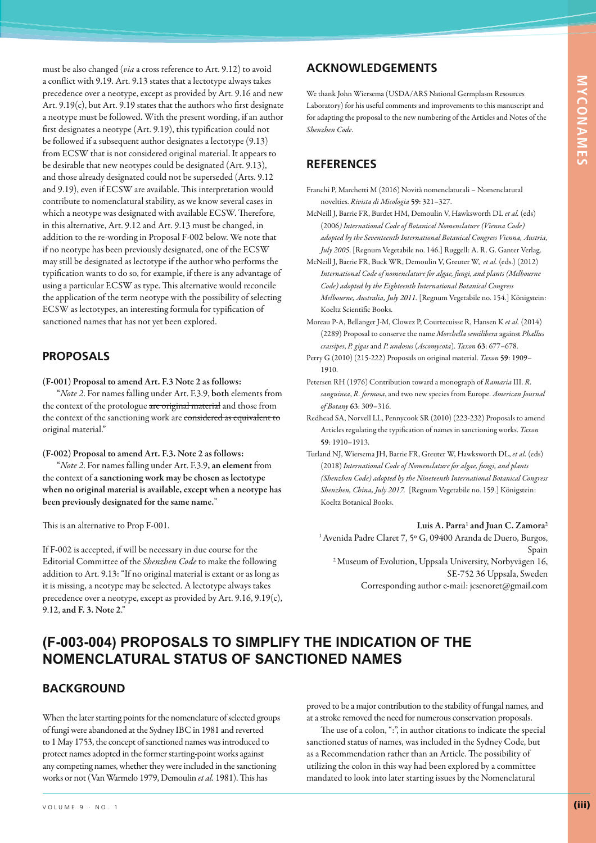must be also changed (*via* a cross reference to Art. 9.12) to avoid a conflict with 9.19. Art. 9.13 states that a lectotype always takes precedence over a neotype, except as provided by Art. 9.16 and new Art. 9.19(c), but Art. 9.19 states that the authors who first designate a neotype must be followed. With the present wording, if an author first designates a neotype (Art. 9.19), this typification could not be followed if a subsequent author designates a lectotype (9.13) from ECSW that is not considered original material. It appears to be desirable that new neotypes could be designated (Art. 9.13), and those already designated could not be superseded (Arts. 9.12 and 9.19), even if ECSW are available. This interpretation would contribute to nomenclatural stability, as we know several cases in which a neotype was designated with available ECSW. Therefore, in this alternative, Art. 9.12 and Art. 9.13 must be changed, in addition to the re-wording in Proposal F-002 below. We note that if no neotype has been previously designated, one of the ECSW may still be designated as lectotype if the author who performs the typification wants to do so, for example, if there is any advantage of using a particular ECSW as type. This alternative would reconcile the application of the term neotype with the possibility of selecting ECSW as lectotypes, an interesting formula for typification of sanctioned names that has not yet been explored.

### **PROPOSALS**

**(F-001) Proposal to amend Art. F.3 Note 2 as follows:**

"*Note 2*. For names falling under Art. F.3.9, **both** elements from the context of the protologue are original material and those from the context of the sanctioning work are considered as equivalent to original material."

**(F-002) Proposal to amend Art. F.3. Note 2 as follows:**

"*Note 2*. For names falling under Art. F.3.9**, an element** from the context of **a sanctioning work may be chosen as lectotype when no original material is available, except when a neotype has been previously designated for the same name.**"

This is an alternative to Prop F-001.

If F-002 is accepted, if will be necessary in due course for the Editorial Committee of the *Shenzhen Code* to make the following addition to Art. 9.13: "If no original material is extant or as long as it is missing, a neotype may be selected. A lectotype always takes precedence over a neotype, except as provided by Art. 9.16, 9.19(c), 9.12, **and F. 3. Note 2**."

## **ACKNOWLEDGEMENTS**

We thank John Wiersema (USDA/ARS National Germplasm Resources Laboratory) for his useful comments and improvements to this manuscript and for adapting the proposal to the new numbering of the Articles and Notes of the *Shenzhen Code*.

#### **REFERENCES**

Franchi P, Marchetti M (2016) Novità nomenclaturali – Nomenclatural novelties. *Rivista di Micologia* **59**: 321–327.

McNeill J, Barrie FR, Burdet HM, Demoulin V, Hawksworth DL *et al.* (eds) (2006*) International Code of Botanical Nomenclature (Vienna Code) adopted by the Seventeenth International Botanical Congress Vienna, Austria, July 2005*. [Regnum Vegetabile no. 146.] Ruggell: A. R. G. Ganter Verlag.

McNeill J, Barrie FR, Buck WR, Demoulin V, Greuter W, *et al.* (eds.) (2012) *International Code of nomenclature for algae, fungi, and plants (Melbourne Code) adopted by the Eighteenth International Botanical Congress Melbourne, Australia, July 2011.* [Regnum Vegetabile no. 154.] Königstein: Koeltz Scientific Books.

- Moreau P-A, Bellanger J-M, Clowez P, Courtecuisse R, Hansen K *et al.* (2014) (2289) Proposal to conserve the name *Morchella semilibera* against *Phallus crassipes*, *P. gigas* and *P. undosus* (*Ascomycota*). *Taxon* **63**: 677–678.
- Perry G (2010) (215-222) Proposals on original material. *Taxon* **59**: 1909– 1910.
- Petersen RH (1976) Contribution toward a monograph of *Ramaria* III. *R. sanguinea*, *R. formosa*, and two new species from Europe. *American Journal of Botany* **63**: 309–316.
- Redhead SA, Norvell LL, Pennycook SR (2010) (223-232) Proposals to amend Articles regulating the typification of names in sanctioning works. *Taxon* **59**: 1910–1913.
- Turland NJ, Wiersema JH, Barrie FR, Greuter W, Hawksworth DL, *et al.* (eds) (2018) *International Code of Nomenclature for algae, fungi, and plants (Shenzhen Code) adopted by the Nineteenth International Botanical Congress Shenzhen, China, July 2017.* [Regnum Vegetabile no. 159.] Königstein: Koeltz Botanical Books.

**Luis A. Parra1 and Juan C. Zamora2** <sup>1</sup> Avenida Padre Claret 7, 5° G, 09400 Aranda de Duero, Burgos, Spain 2 Museum of Evolution, Uppsala University, Norbyvägen 16, SE-752 36 Uppsala, Sweden

Corresponding author e-mail: jcsenoret@gmail.com

# **(F-003-004) PROPOSALS TO SIMPLIFY THE INDICATION OF THE NOMENCLATURAL STATUS OF SANCTIONED NAMES**

### **BACKGROUND**

When the later starting points for the nomenclature of selected groups of fungi were abandoned at the Sydney IBC in 1981 and reverted to 1 May 1753, the concept of sanctioned names was introduced to protect names adopted in the former starting-point works against any competing names, whether they were included in the sanctioning works or not (Van Warmelo 1979, Demoulin *et al.* 1981). This has

proved to be a major contribution to the stability of fungal names, and at a stroke removed the need for numerous conservation proposals.

The use of a colon, ":", in author citations to indicate the special sanctioned status of names, was included in the Sydney Code, but as a Recommendation rather than an Article. The possibility of utilizing the colon in this way had been explored by a committee mandated to look into later starting issues by the Nomenclatural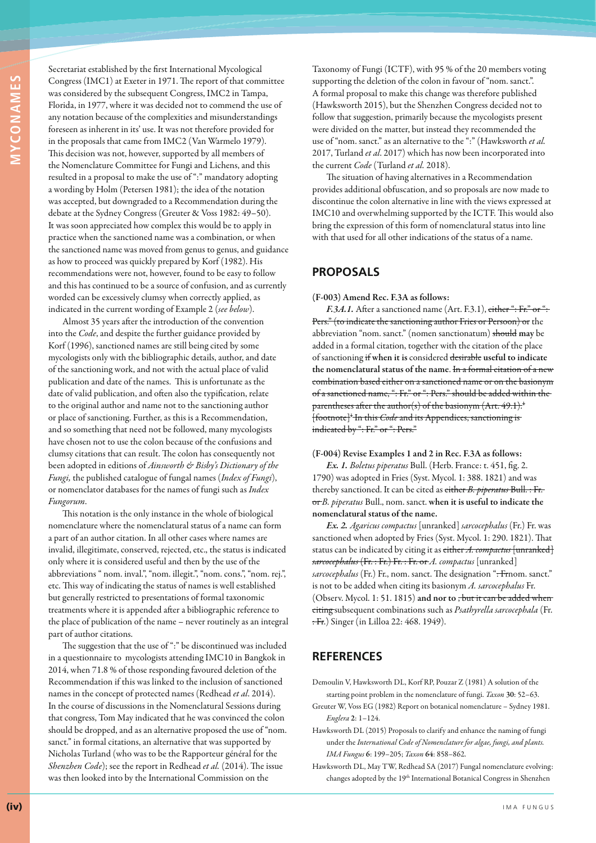Secretariat established by the first International Mycological Congress (IMC1) at Exeter in 1971. The report of that committee was considered by the subsequent Congress, IMC2 in Tampa, Florida, in 1977, where it was decided not to commend the use of any notation because of the complexities and misunderstandings foreseen as inherent in its' use. It was not therefore provided for in the proposals that came from IMC2 (Van Warmelo 1979). This decision was not, however, supported by all members of the Nomenclature Committee for Fungi and Lichens, and this resulted in a proposal to make the use of ":" mandatory adopting a wording by Holm (Petersen 1981); the idea of the notation was accepted, but downgraded to a Recommendation during the debate at the Sydney Congress (Greuter & Voss 1982: 49–50). It was soon appreciated how complex this would be to apply in practice when the sanctioned name was a combination, or when the sanctioned name was moved from genus to genus, and guidance as how to proceed was quickly prepared by Korf (1982). His recommendations were not, however, found to be easy to follow and this has continued to be a source of confusion, and as currently worded can be excessively clumsy when correctly applied, as indicated in the current wording of Example 2 (*see below*).

Almost 35 years after the introduction of the convention into the *Code*, and despite the further guidance provided by Korf (1996), sanctioned names are still being cited by some mycologists only with the bibliographic details, author, and date of the sanctioning work, and not with the actual place of valid publication and date of the names. This is unfortunate as the date of valid publication, and often also the typification, relate to the original author and name not to the sanctioning author or place of sanctioning. Further, as this is a Recommendation, and so something that need not be followed, many mycologists have chosen not to use the colon because of the confusions and clumsy citations that can result. The colon has consequently not been adopted in editions of *Ainsworth & Bisby's Dictionary of the Fungi,* the published catalogue of fungal names (*Index of Fungi*), or nomenclator databases for the names of fungi such as *Index Fungorum*.

This notation is the only instance in the whole of biological nomenclature where the nomenclatural status of a name can form a part of an author citation. In all other cases where names are invalid, illegitimate, conserved, rejected, etc., the status is indicated only where it is considered useful and then by the use of the abbreviations " nom. inval.", "nom. illegit.", "nom. cons.", "nom. rej.", etc. This way of indicating the status of names is well established but generally restricted to presentations of formal taxonomic treatments where it is appended after a bibliographic reference to the place of publication of the name – never routinely as an integral part of author citations.

The suggestion that the use of ":" be discontinued was included in a questionnaire to mycologists attending IMC10 in Bangkok in 2014, when 71.8 % of those responding favoured deletion of the Recommendation if this was linked to the inclusion of sanctioned names in the concept of protected names (Redhead *et al*. 2014). In the course of discussions in the Nomenclatural Sessions during that congress, Tom May indicated that he was convinced the colon should be dropped, and as an alternative proposed the use of "nom. sanct." in formal citations, an alternative that was supported by Nicholas Turland (who was to be the Rapporteur général for the *Shenzhen Code*); see the report in Redhead *et al.* (2014). The issue was then looked into by the International Commission on the

Taxonomy of Fungi (ICTF), with 95 % of the 20 members voting supporting the deletion of the colon in favour of "nom. sanct.". A formal proposal to make this change was therefore published (Hawksworth 2015), but the Shenzhen Congress decided not to follow that suggestion, primarily because the mycologists present were divided on the matter, but instead they recommended the use of "nom. sanct." as an alternative to the ":" (Hawksworth *et al.* 2017, Turland *et al*. 2017) which has now been incorporated into the current *Code* (Turland *et al.* 2018).

The situation of having alternatives in a Recommendation provides additional obfuscation, and so proposals are now made to discontinue the colon alternative in line with the views expressed at IMC10 and overwhelming supported by the ICTF. This would also bring the expression of this form of nomenclatural status into line with that used for all other indications of the status of a name.

#### **PROPOSALS**

**(F-003) Amend Rec. F.3A as follows:**

*F.3A.1.* After a sanctioned name (Art. F.3.1), either ": Fr." or ": Pers." (to indicate the sanctioning author Fries or Persoon) or the abbreviation "nom. sanct." (nomen sanctionatum) should **may** be added in a formal citation, together with the citation of the place of sanctioning if **when it is** considered desirable **useful to indicate the nomenclatural status of the name**. In a formal citation of a new combination based either on a sanctioned name or on the basionym of a sanctioned name, ": Fr." or ": Pers." should be added within the parentheses after the author(s) of the basionym  $(Art. 49.1)^{1}$ . [footnote]<sup>+</sup> In this *Code* and its Appendices, sanctioning is indicated by ": Fr." or ": Pers."

**(F-004) Revise Examples 1 and 2 in Rec. F.3A as follows:**

*Ex. 1. Boletus piperatus* Bull. (Herb. France: t. 451, fig. 2. 1790) was adopted in Fries (Syst. Mycol. 1: 388. 1821) and was thereby sanctioned. It can be cited as either *B. piperatus* Bull. : Fr. or *B. piperatus* Bull., nom. sanct. **when it is useful to indicate the nomenclatural status of the name.**

*Ex. 2. Agaricus compactus* [unranked] *sarcocephalus* (Fr.) Fr. was sanctioned when adopted by Fries (Syst. Mycol. 1: 290. 1821). That status can be indicated by citing it as either *A. compactus* [unranked] *sarcocephalus* (Fr. : Fr.) Fr. : Fr. or *A. compactus* [unranked] sarcocephalus (Fr.) Fr., nom. sanct. The designation ": Frnom. sanct." is not to be added when citing its basionym *A. sarcocephalus* Fr. (Observ. Mycol. 1: 51. 1815) **and nor to** , but it can be added when citing subsequent combinations such as *Psathyrella sarcocephala* (Fr. : Fr.) Singer (in Lilloa 22: 468. 1949).

### **REFERENCES**

- Demoulin V, Hawksworth DL, Korf RP, Pouzar Z (1981) A solution of the starting point problem in the nomenclature of fungi. *Taxon* **30**: 52–63.
- Greuter W, Voss EG (1982) Report on botanical nomenclature Sydney 1981. *Englera* **2**: 1–124.
- Hawksworth DL (2015) Proposals to clarify and enhance the naming of fungi under the *International Code of Nomenclature for algae, fungi, and plants. IMA Fungus* **6**: 199–205; *Taxon* **64**: 858–862.
- Hawksworth DL, May TW, Redhead SA (2017) Fungal nomenclature evolving: changes adopted by the 19<sup>th</sup> International Botanical Congress in Shenzhen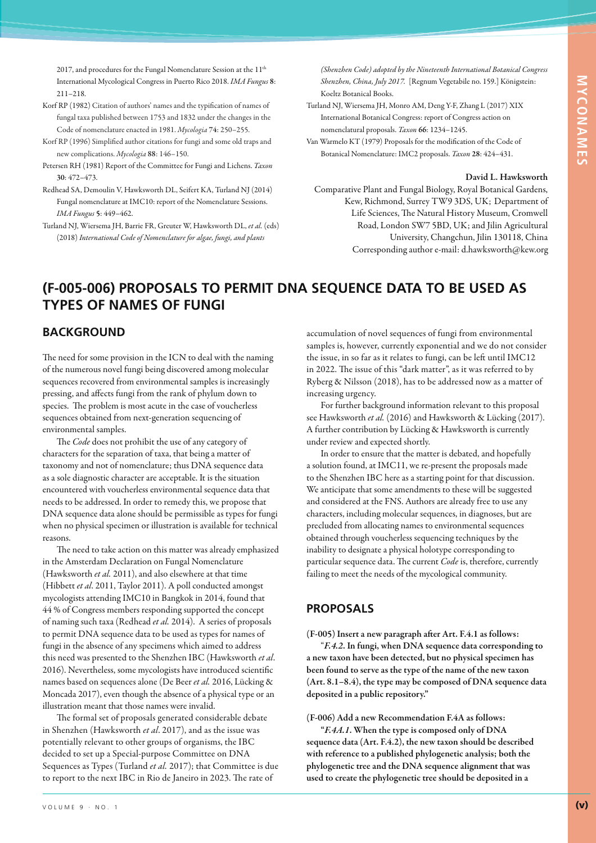2017, and procedures for the Fungal Nomenclature Session at the 11<sup>th</sup> International Mycological Congress in Puerto Rico 2018. *IMA Fungus* **8**: 211–218.

- Korf RP (1982) Citation of authors' names and the typification of names of fungal taxa published between 1753 and 1832 under the changes in the Code of nomenclature enacted in 1981. *Mycologia* **74**: 250–255.
- Korf RP (1996) Simplified author citations for fungi and some old traps and new complications. *Mycologia* **88**: 146–150.
- Petersen RH (1981) Report of the Committee for Fungi and Lichens. *Taxon* **30**: 472–473.
- Redhead SA, Demoulin V, Hawksworth DL, Seifert KA, Turland NJ (2014) Fungal nomenclature at IMC10: report of the Nomenclature Sessions. *IMA Fungus* **5**: 449–462.
- Turland NJ, Wiersema JH, Barrie FR, Greuter W, Hawksworth DL, *et al.* (eds) (2018) *International Code of Nomenclature for algae, fungi, and plants*

*(Shenzhen Code) adopted by the Nineteenth International Botanical Congress Shenzhen, China, July 2017.* [Regnum Vegetabile no. 159.] Königstein: Koeltz Botanical Books.

- Turland NJ, Wiersema JH, Monro AM, Deng Y-F, Zhang L (2017) XIX International Botanical Congress: report of Congress action on nomenclatural proposals. *Taxon* **66**: 1234–1245.
- Van Warmelo KT (1979) Proposals for the modification of the Code of Botanical Nomenclature: IMC2 proposals. *Taxon* **28**: 424–431.

#### **David L. Hawksworth**

Comparative Plant and Fungal Biology, Royal Botanical Gardens, Kew, Richmond, Surrey TW9 3DS, UK; Department of Life Sciences, The Natural History Museum, Cromwell Road, London SW7 5BD, UK; and Jilin Agricultural University, Changchun, Jilin 130118, China Corresponding author e-mail: d.hawksworth@kew.org

accumulation of novel sequences of fungi from environmental samples is, however, currently exponential and we do not consider the issue, in so far as it relates to fungi, can be left until IMC12 in 2022. The issue of this "dark matter", as it was referred to by Ryberg & Nilsson (2018), has to be addressed now as a matter of

For further background information relevant to this proposal see Hawksworth *et al.* (2016) and Hawksworth & Lücking (2017). A further contribution by Lücking & Hawksworth is currently

## **(F-005-006) PROPOSALS TO PERMIT DNA SEQUENCE DATA TO BE USED AS TYPES OF NAMES OF FUNGI**

#### **BACKGROUND**

The need for some provision in the ICN to deal with the naming of the numerous novel fungi being discovered among molecular sequences recovered from environmental samples is increasingly pressing, and affects fungi from the rank of phylum down to species. The problem is most acute in the case of voucherless sequences obtained from next-generation sequencing of environmental samples.

The *Code* does not prohibit the use of any category of characters for the separation of taxa, that being a matter of taxonomy and not of nomenclature; thus DNA sequence data as a sole diagnostic character are acceptable. It is the situation encountered with voucherless environmental sequence data that needs to be addressed. In order to remedy this, we propose that DNA sequence data alone should be permissible as types for fungi when no physical specimen or illustration is available for technical reasons.

The need to take action on this matter was already emphasized in the Amsterdam Declaration on Fungal Nomenclature (Hawksworth *et al.* 2011), and also elsewhere at that time (Hibbett *et al*. 2011, Taylor 2011). A poll conducted amongst mycologists attending IMC10 in Bangkok in 2014, found that 44 % of Congress members responding supported the concept of naming such taxa (Redhead *et al.* 2014). A series of proposals to permit DNA sequence data to be used as types for names of fungi in the absence of any specimens which aimed to address this need was presented to the Shenzhen IBC (Hawksworth *et al*. 2016). Nevertheless, some mycologists have introduced scientific names based on sequences alone (De Beer *et al.* 2016, Lücking & Moncada 2017), even though the absence of a physical type or an illustration meant that those names were invalid.

The formal set of proposals generated considerable debate in Shenzhen (Hawksworth *et al*. 2017), and as the issue was potentially relevant to other groups of organisms, the IBC decided to set up a Special-purpose Committee on DNA Sequences as Types (Turland *et al.* 2017); that Committee is due to report to the next IBC in Rio de Janeiro in 2023. The rate of

In order to ensure that the matter is debated, and hopefully a solution found, at IMC11, we re-present the proposals made to the Shenzhen IBC here as a starting point for that discussion. We anticipate that some amendments to these will be suggested and considered at the FNS. Authors are already free to use any characters, including molecular sequences, in diagnoses, but are

under review and expected shortly.

precluded from allocating names to environmental sequences obtained through voucherless sequencing techniques by the inability to designate a physical holotype corresponding to particular sequence data. The current *Code* is, therefore, currently failing to meet the needs of the mycological community.

#### **PROPOSALS**

increasing urgency.

**(F-005) Insert a new paragraph after Art. F.4.1 as follows:**

"*F.4.2***. In fungi, when DNA sequence data corresponding to a new taxon have been detected, but no physical specimen has been found to serve as the type of the name of the new taxon (Art. 8.1–8.4), the type may be composed of DNA sequence data deposited in a public repository."**

**(F-006) Add a new Recommendation F.4A as follows:**

**"***F.4A.1***. When the type is composed only of DNA sequence data (Art. F.4.2), the new taxon should be described with reference to a published phylogenetic analysis; both the phylogenetic tree and the DNA sequence alignment that was used to create the phylogenetic tree should be deposited in a**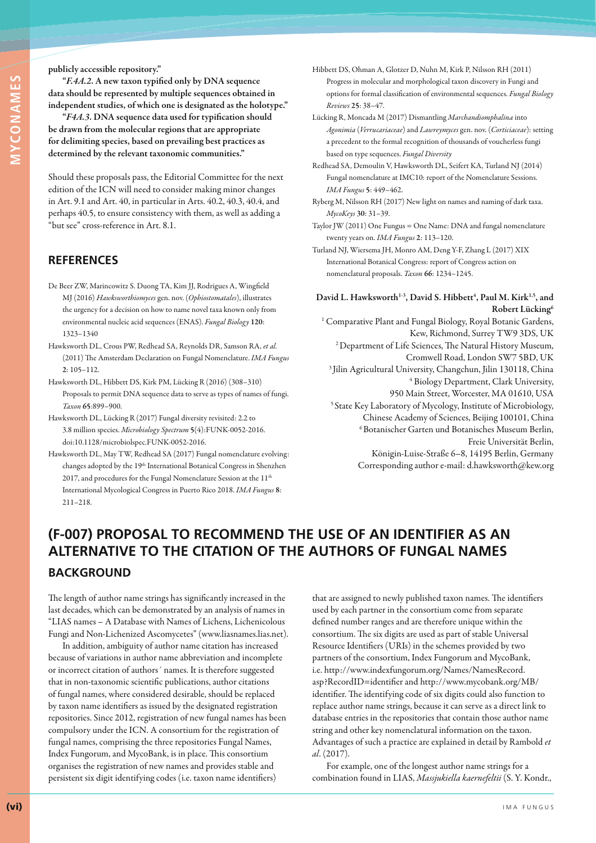#### **publicly accessible repository."**

**"***F.4A.2***. A new taxon typified only by DNA sequence data should be represented by multiple sequences obtained in independent studies, of which one is designated as the holotype."**

**"***F4A.3***. DNA sequence data used for typification should be drawn from the molecular regions that are appropriate for delimiting species, based on prevailing best practices as determined by the relevant taxonomic communities."**

Should these proposals pass, the Editorial Committee for the next edition of the ICN will need to consider making minor changes in Art. 9.1 and Art. 40, in particular in Arts. 40.2, 40.3, 40.4, and perhaps 40.5, to ensure consistency with them, as well as adding a "but see" cross-reference in Art. 8.1.

### **REFERENCES**

- De Beer ZW, Marincowitz S. Duong TA, Kim JJ, Rodrigues A, Wingfield MJ (2016) *Hawksworthiomyces* gen. nov. (*Ophiostomatales*), illustrates the urgency for a decision on how to name novel taxa known only from environmental nucleic acid sequences (ENAS). *Fungal Biology* **120**: 1323–1340
- Hawksworth DL, Crous PW, Redhead SA, Reynolds DR, Samson RA, *et al.* (2011) The Amsterdam Declaration on Fungal Nomenclature. *IMA Fungus* **2**: 105–112.
- Hawksworth DL, Hibbett DS, Kirk PM, Lücking R (2016) (308–310) Proposals to permit DNA sequence data to serve as types of names of fungi. *Taxon* **65**:899–900.
- Hawksworth DL, Lücking R (2017) Fungal diversity revisited: 2.2 to 3.8 million species. *Microbiology Spectrum* **5**(4):FUNK-0052-2016. doi:10.1128/microbiolspec.FUNK-0052-2016.
- Hawksworth DL, May TW, Redhead SA (2017) Fungal nomenclature evolving: changes adopted by the 19th International Botanical Congress in Shenzhen 2017, and procedures for the Fungal Nomenclature Session at the  $11<sup>th</sup>$ International Mycological Congress in Puerto Rico 2018. *IMA Fungus* **8**: 211–218.
- Hibbett DS, Ohman A, Glotzer D, Nuhn M, Kirk P, Nilsson RH (2011) Progress in molecular and morphological taxon discovery in Fungi and options for formal classification of environmental sequences. *Fungal Biology Reviews* **25**: 38–47.
- Lücking R, Moncada M (2017) Dismantling *Marchandiomphalina* into *Agonimia* (*Verrucariaceae*) and *Lawreymyces* gen. nov. (*Corticiaceae*): setting a precedent to the formal recognition of thousands of voucherless fungi based on type sequences. *Fungal Diversity*
- Redhead SA, Demoulin V, Hawksworth DL, Seifert KA, Turland NJ (2014) Fungal nomenclature at IMC10: report of the Nomenclature Sessions. *IMA Fungus* **5**: 449–462.
- Ryberg M, Nilsson RH (2017) New light on names and naming of dark taxa. *MycoKeys* **30**: 31–39.
- Taylor JW (2011) One Fungus = One Name: DNA and fungal nomenclature twenty years on. *IMA Fungus* **2**: 113–120.
- Turland NJ, Wiersema JH, Monro AM, Deng Y-F, Zhang L (2017) XIX International Botanical Congress: report of Congress action on nomenclatural proposals. *Taxon* **66**: 1234–1245.
- David L. Hawksworth<sup>1-3</sup>, David S. Hibbett<sup>4</sup>, Paul M. Kirk<sup>1,5</sup>, and **Robert Lücking6**

<sup>1</sup> Comparative Plant and Fungal Biology, Royal Botanic Gardens, Kew, Richmond, Surrey TW9 3DS, UK 2 Department of Life Sciences, The Natural History Museum, Cromwell Road, London SW7 5BD, UK <sup>3</sup> Jilin Agricultural University, Changchun, Jilin 130118, China 4 Biology Department, Clark University, 950 Main Street, Worcester, MA 01610, USA 5 State Key Laboratory of Mycology, Institute of Microbiology, Chinese Academy of Sciences, Beijing 100101, China 6 Botanischer Garten und Botanisches Museum Berlin, Freie Universität Berlin, Königin-Luise-Straße 6–8, 14195 Berlin, Germany

Corresponding author e-mail: d.hawksworth@kew.org

# **(F-007) PROPOSAL TO RECOMMEND THE USE OF AN IDENTIFIER AS AN ALTERNATIVE TO THE CITATION OF THE AUTHORS OF FUNGAL NAMES BACKGROUND**

The length of author name strings has significantly increased in the last decades, which can be demonstrated by an analysis of names in "LIAS names – A Database with Names of Lichens, Lichenicolous Fungi and Non-Lichenized Ascomycetes" (www.liasnames.lias.net).

In addition, ambiguity of author name citation has increased because of variations in author name abbreviation and incomplete or incorrect citation of authors´ names. It is therefore suggested that in non-taxonomic scientific publications, author citations of fungal names, where considered desirable, should be replaced by taxon name identifiers as issued by the designated registration repositories. Since 2012, registration of new fungal names has been compulsory under the ICN. A consortium for the registration of fungal names, comprising the three repositories Fungal Names, Index Fungorum, and MycoBank, is in place. This consortium organises the registration of new names and provides stable and persistent six digit identifying codes (i.e. taxon name identifiers)

that are assigned to newly published taxon names. The identifiers used by each partner in the consortium come from separate defined number ranges and are therefore unique within the consortium. The six digits are used as part of stable Universal Resource Identifiers (URIs) in the schemes provided by two partners of the consortium, Index Fungorum and MycoBank, i.e. http://www.indexfungorum.org/Names/NamesRecord. asp?RecordID=identifier and http://www.mycobank.org/MB/ identifier. The identifying code of six digits could also function to replace author name strings, because it can serve as a direct link to database entries in the repositories that contain those author name string and other key nomenclatural information on the taxon. Advantages of such a practice are explained in detail by Rambold *et al*. (2017).

For example, one of the longest author name strings for a combination found in LIAS, *Massjukiella kaernefeltii* (S. Y. Kondr.,